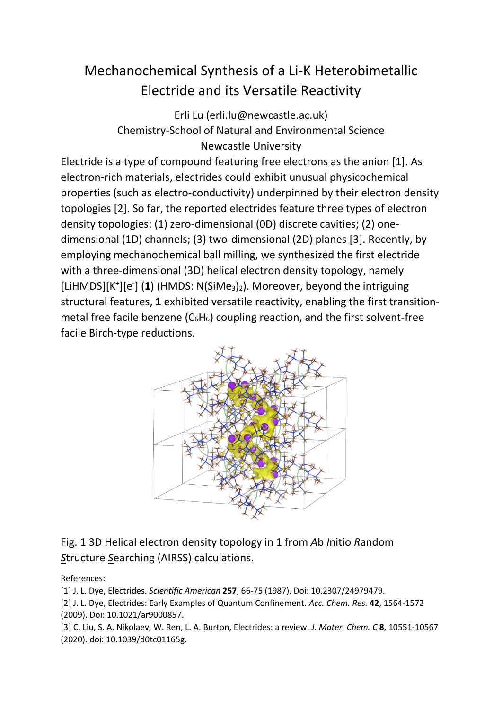## Mechanochemical Synthesis of a Li-K Heterobimetallic Electride and its Versatile Reactivity

Erli Lu (erli.lu@newcastle.ac.uk) Chemistry-School of Natural and Environmental Science Newcastle University

Electride is a type of compound featuring free electrons as the anion [1]. As electron-rich materials, electrides could exhibit unusual physicochemical properties (such as electro-conductivity) underpinned by their electron density topologies [2]. So far, the reported electrides feature three types of electron density topologies: (1) zero-dimensional (0D) discrete cavities; (2) onedimensional (1D) channels; (3) two-dimensional (2D) planes [3]. Recently, by employing mechanochemical ball milling, we synthesized the first electride with a three-dimensional (3D) helical electron density topology, namely [LiHMDS][K<sup>+</sup>][e<sup>-</sup>] (1) (HMDS: N(SiMe<sub>3</sub>)<sub>2</sub>). Moreover, beyond the intriguing structural features, **1** exhibited versatile reactivity, enabling the first transitionmetal free facile benzene  $(C_6H_6)$  coupling reaction, and the first solvent-free facile Birch-type reductions.



## Fig. 1 3D Helical electron density topology in 1 from *A*b *I*nitio *R*andom *S*tructure *S*earching (AIRSS) calculations.

References:

[1] J. L. Dye, Electrides. *Scientific American* **257**, 66-75 (1987). Doi: 10.2307/24979479.

[2] J. L. Dye, Electrides: Early Examples of Quantum Confinement. *Acc. Chem. Res.* **42**, 1564-1572 (2009). Doi: 10.1021/ar9000857.

[3] C. Liu, S. A. Nikolaev, W. Ren, L. A. Burton, Electrides: a review. *J. Mater. Chem. C* **8**, 10551-10567 (2020). doi: 10.1039/d0tc01165g.